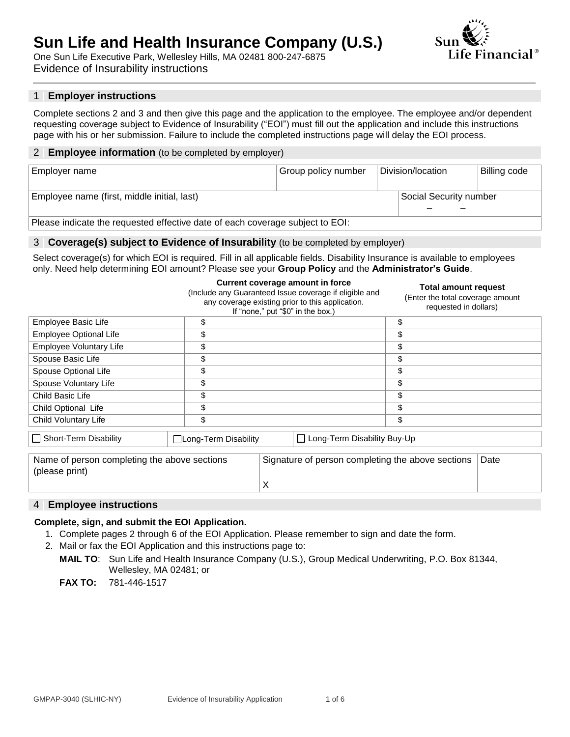## **Sun Life and Health Insurance Company (U.S.)** One Sun Life Executive Park, Wellesley Hills, MA 02481 800-247-6875



Evidence of Insurability instructions

## 1 **| Employer instructions**

Complete sections 2 and 3 and then give this page and the application to the employee. The employee and/or dependent requesting coverage subject to Evidence of Insurability ("EOI") must fill out the application and include this instructions page with his or her submission. Failure to include the completed instructions page will delay the EOI process.

#### 2 **| Employee information** (to be completed by employer)

| Employer name                                                                 | Group policy number | Division/location |                        | Billing code |  |  |
|-------------------------------------------------------------------------------|---------------------|-------------------|------------------------|--------------|--|--|
| Employee name (first, middle initial, last)                                   |                     |                   | Social Security number |              |  |  |
| Please indicate the requested effective date of each coverage subject to EOI: |                     |                   |                        |              |  |  |

#### 3 **| Coverage(s) subject to Evidence of Insurability** (to be completed by employer)

Select coverage(s) for which EOI is required. Fill in all applicable fields. Disability Insurance is available to employees only. Need help determining EOI amount? Please see your **Group Policy** and the **Administrator's Guide**.

|                                                                |                       | Current coverage amount in force<br>(Include any Guaranteed Issue coverage if eligible and<br>any coverage existing prior to this application.<br>If "none," put "\$0" in the box.) | Total amount request<br>(Enter the total coverage amount<br>requested in dollars) |
|----------------------------------------------------------------|-----------------------|-------------------------------------------------------------------------------------------------------------------------------------------------------------------------------------|-----------------------------------------------------------------------------------|
| Employee Basic Life                                            | \$                    |                                                                                                                                                                                     | \$                                                                                |
| Employee Optional Life                                         | \$                    |                                                                                                                                                                                     | \$                                                                                |
| Employee Voluntary Life                                        | \$                    |                                                                                                                                                                                     | \$                                                                                |
| Spouse Basic Life                                              | \$                    |                                                                                                                                                                                     | \$                                                                                |
| Spouse Optional Life                                           | \$                    |                                                                                                                                                                                     | \$                                                                                |
| Spouse Voluntary Life                                          | \$                    |                                                                                                                                                                                     | \$                                                                                |
| Child Basic Life                                               | \$                    |                                                                                                                                                                                     | \$                                                                                |
| Child Optional Life                                            | \$                    |                                                                                                                                                                                     | \$                                                                                |
| Child Voluntary Life                                           | \$                    |                                                                                                                                                                                     | \$                                                                                |
| Short-Term Disability                                          | □Long-Term Disability | Long-Term Disability Buy-Up<br>$\perp$                                                                                                                                              |                                                                                   |
| Name of person completing the above sections<br>(please print) |                       | Signature of person completing the above sections                                                                                                                                   | Date                                                                              |

## 4 **| Employee instructions**

#### **Complete, sign, and submit the EOI Application.**

1. Complete pages 2 through 6 of the EOI Application. Please remember to sign and date the form.

X

- 2. Mail or fax the EOI Application and this instructions page to:
	- **MAIL TO**: Sun Life and Health Insurance Company (U.S.), Group Medical Underwriting, P.O. Box 81344, Wellesley, MA 02481; or

**FAX TO:** 781-446-1517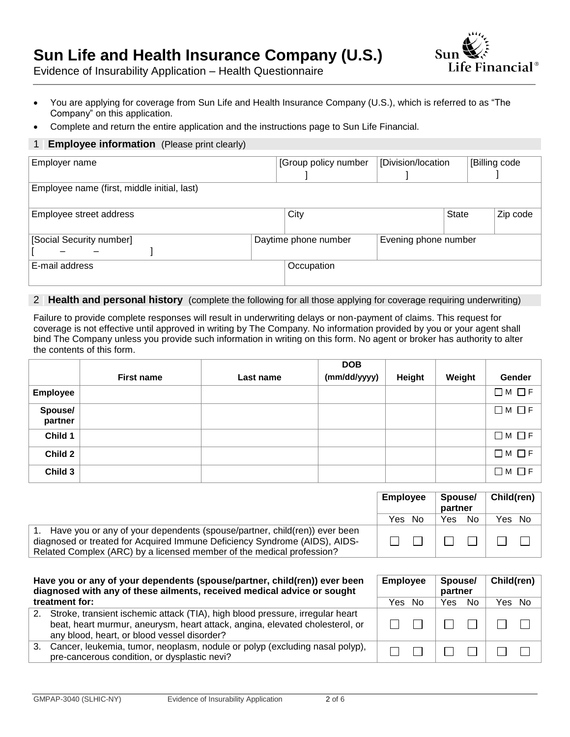# **Sun Life and Health Insurance Company (U.S.)**



Evidence of Insurability Application – Health Questionnaire

- You are applying for coverage from Sun Life and Health Insurance Company (U.S.), which is referred to as "The Company" on this application.
- Complete and return the entire application and the instructions page to Sun Life Financial.

## 1 **Employee information** (Please print clearly)

| Employer name                               | [Division/location<br>[Group policy number |                      |              |  | [Billing code |
|---------------------------------------------|--------------------------------------------|----------------------|--------------|--|---------------|
| Employee name (first, middle initial, last) |                                            |                      |              |  |               |
| Employee street address                     | City                                       |                      | <b>State</b> |  | Zip code      |
| [Social Security number]                    | Daytime phone number                       | Evening phone number |              |  |               |
| E-mail address                              | Occupation                                 |                      |              |  |               |

## 2 **| Health and personal history** (complete the following for all those applying for coverage requiring underwriting)

Failure to provide complete responses will result in underwriting delays or non-payment of claims. This request for coverage is not effective until approved in writing by The Company. No information provided by you or your agent shall bind The Company unless you provide such information in writing on this form. No agent or broker has authority to alter the contents of this form.

|                    |                   |           | <b>DOB</b>   |               |        |                   |
|--------------------|-------------------|-----------|--------------|---------------|--------|-------------------|
|                    | <b>First name</b> | Last name | (mm/dd/yyyy) | <b>Height</b> | Weight | Gender            |
| Employee           |                   |           |              |               |        | $\Box M$ $\Box F$ |
| Spouse/<br>partner |                   |           |              |               |        | $\Box M$ $\Box F$ |
| Child 1            |                   |           |              |               |        | $\Box M$ $\Box F$ |
| Child 2            |                   |           |              |               |        | $\Box M$ $\Box F$ |
| Child 3            |                   |           |              |               |        | $\Box M \Box F$   |

|                                                                                                                                                     | <b>Employee</b> |  | Spouse/<br>partner      |                                                                                                                                                                                                                                      | Child(ren) |  |
|-----------------------------------------------------------------------------------------------------------------------------------------------------|-----------------|--|-------------------------|--------------------------------------------------------------------------------------------------------------------------------------------------------------------------------------------------------------------------------------|------------|--|
|                                                                                                                                                     | Yes No          |  | Yes                     | No                                                                                                                                                                                                                                   | Yes No     |  |
| Have you or any of your dependents (spouse/partner, child(ren)) ever been                                                                           |                 |  |                         |                                                                                                                                                                                                                                      |            |  |
| diagnosed or treated for Acquired Immune Deficiency Syndrome (AIDS), AIDS-<br>Related Complex (ARC) by a licensed member of the medical profession? | 1 1 1 1         |  | and the property of the | <b>The Contract of the Contract of the Contract of the Contract of the Contract of the Contract of the Contract of the Contract of the Contract of the Contract of the Contract of the Contract of the Contract of the Contract </b> | $\Box$     |  |

|    | Have you or any of your dependents (spouse/partner, child(ren)) ever been<br><b>Employee</b><br>diagnosed with any of these ailments, received medical advice or sought                                      |        |  | Spouse/<br>partner |     | Child(ren) $ $ |  |
|----|--------------------------------------------------------------------------------------------------------------------------------------------------------------------------------------------------------------|--------|--|--------------------|-----|----------------|--|
|    | treatment for:                                                                                                                                                                                               | Yes No |  | <b>Yes</b>         | No. | Yes No         |  |
| 2. | Stroke, transient ischemic attack (TIA), high blood pressure, irregular heart<br>beat, heart murmur, aneurysm, heart attack, angina, elevated cholesterol, or<br>any blood, heart, or blood vessel disorder? |        |  |                    |     |                |  |
| 3. | Cancer, leukemia, tumor, neoplasm, nodule or polyp (excluding nasal polyp),<br>pre-cancerous condition, or dysplastic nevi?                                                                                  |        |  |                    |     |                |  |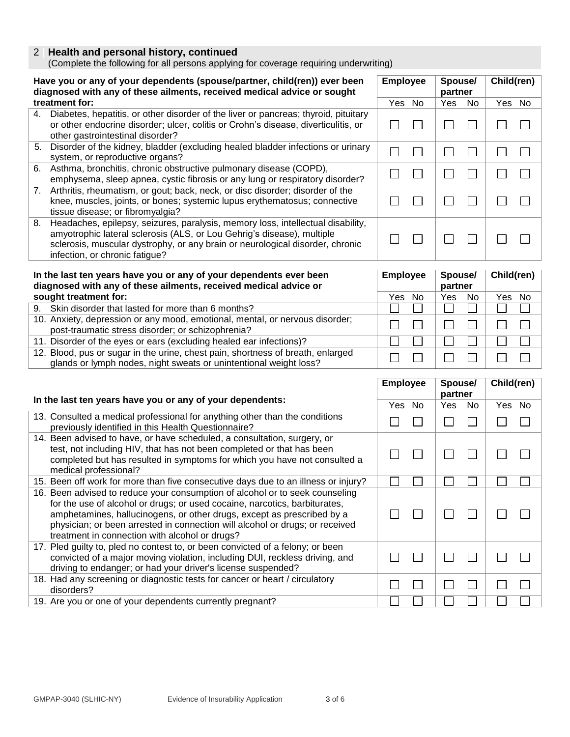## 2 **| Health and personal history, continued**

(Complete the following for all persons applying for coverage requiring underwriting)

| Have you or any of your dependents (spouse/partner, child(ren)) ever been<br><b>Employee</b><br>diagnosed with any of these ailments, received medical advice or sought |                                                                                                                                                                                                                                                                                                                                                                        |                                              | Spouse/<br>partner                                         | Child(ren)   |
|-------------------------------------------------------------------------------------------------------------------------------------------------------------------------|------------------------------------------------------------------------------------------------------------------------------------------------------------------------------------------------------------------------------------------------------------------------------------------------------------------------------------------------------------------------|----------------------------------------------|------------------------------------------------------------|--------------|
|                                                                                                                                                                         | treatment for:                                                                                                                                                                                                                                                                                                                                                         | Yes No                                       | Yes<br>No                                                  | Yes No       |
|                                                                                                                                                                         | 4. Diabetes, hepatitis, or other disorder of the liver or pancreas; thyroid, pituitary<br>or other endocrine disorder; ulcer, colitis or Crohn's disease, diverticulitis, or<br>other gastrointestinal disorder?                                                                                                                                                       | $\overline{\phantom{0}}$                     | $\sim$                                                     |              |
| 5.                                                                                                                                                                      | Disorder of the kidney, bladder (excluding healed bladder infections or urinary<br>system, or reproductive organs?                                                                                                                                                                                                                                                     | $\mathcal{L}$<br>$\sim$                      | $\sim$                                                     |              |
| 6.                                                                                                                                                                      | Asthma, bronchitis, chronic obstructive pulmonary disease (COPD),<br>emphysema, sleep apnea, cystic fibrosis or any lung or respiratory disorder?                                                                                                                                                                                                                      | $\mathcal{L}$<br>$\mathcal{L}_{\mathcal{A}}$ | $\mathcal{L}_{\mathcal{A}}$<br>$\mathcal{L}_{\mathcal{A}}$ | $\Box$       |
| 7.                                                                                                                                                                      | Arthritis, rheumatism, or gout; back, neck, or disc disorder; disorder of the<br>knee, muscles, joints, or bones; systemic lupus erythematosus; connective<br>tissue disease; or fibromyalgia?                                                                                                                                                                         |                                              |                                                            |              |
| 8.                                                                                                                                                                      | Headaches, epilepsy, seizures, paralysis, memory loss, intellectual disability,<br>amyotrophic lateral sclerosis (ALS, or Lou Gehrig's disease), multiple<br>sclerosis, muscular dystrophy, or any brain or neurological disorder, chronic<br>infection, or chronic fatigue?                                                                                           |                                              |                                                            |              |
|                                                                                                                                                                         | In the last ten years have you or any of your dependents ever been                                                                                                                                                                                                                                                                                                     | <b>Employee</b>                              | Spouse/                                                    | Child(ren)   |
|                                                                                                                                                                         | diagnosed with any of these ailments, received medical advice or                                                                                                                                                                                                                                                                                                       |                                              | partner                                                    |              |
|                                                                                                                                                                         | sought treatment for:                                                                                                                                                                                                                                                                                                                                                  | Yes No                                       | Yes<br>No                                                  | Yes No       |
| 9.                                                                                                                                                                      | Skin disorder that lasted for more than 6 months?                                                                                                                                                                                                                                                                                                                      |                                              |                                                            |              |
|                                                                                                                                                                         | 10. Anxiety, depression or any mood, emotional, mental, or nervous disorder;<br>post-traumatic stress disorder; or schizophrenia?                                                                                                                                                                                                                                      |                                              |                                                            |              |
|                                                                                                                                                                         | 11. Disorder of the eyes or ears (excluding healed ear infections)?                                                                                                                                                                                                                                                                                                    |                                              |                                                            |              |
|                                                                                                                                                                         | 12. Blood, pus or sugar in the urine, chest pain, shortness of breath, enlarged<br>glands or lymph nodes, night sweats or unintentional weight loss?                                                                                                                                                                                                                   |                                              |                                                            |              |
|                                                                                                                                                                         |                                                                                                                                                                                                                                                                                                                                                                        |                                              |                                                            |              |
|                                                                                                                                                                         | In the last ten years have you or any of your dependents:                                                                                                                                                                                                                                                                                                              | <b>Employee</b>                              | Spouse/<br>partner                                         | Child(ren)   |
|                                                                                                                                                                         |                                                                                                                                                                                                                                                                                                                                                                        | No<br>Yes                                    | Yes<br>No                                                  | Yes No       |
|                                                                                                                                                                         | 13. Consulted a medical professional for anything other than the conditions<br>previously identified in this Health Questionnaire?                                                                                                                                                                                                                                     |                                              | $\Box$<br>$\mathcal{L}_{\mathcal{A}}$                      | $\mathsf{L}$ |
|                                                                                                                                                                         | 14. Been advised to have, or have scheduled, a consultation, surgery, or<br>test, not including HIV, that has not been completed or that has been<br>completed but has resulted in symptoms for which you have not consulted a<br>medical professional?                                                                                                                |                                              |                                                            |              |
|                                                                                                                                                                         | 15. Been off work for more than five consecutive days due to an illness or injury?                                                                                                                                                                                                                                                                                     |                                              |                                                            |              |
|                                                                                                                                                                         | 16. Been advised to reduce your consumption of alcohol or to seek counseling<br>for the use of alcohol or drugs; or used cocaine, narcotics, barbiturates,<br>amphetamines, hallucinogens, or other drugs, except as prescribed by a<br>physician; or been arrested in connection will alcohol or drugs; or received<br>treatment in connection with alcohol or drugs? |                                              |                                                            |              |
|                                                                                                                                                                         | 17. Pled guilty to, pled no contest to, or been convicted of a felony; or been<br>convicted of a major moving violation, including DUI, reckless driving, and<br>driving to endanger; or had your driver's license suspended?                                                                                                                                          |                                              |                                                            |              |

19. Are you or one of your dependents currently pregnant?

18. Had any screening or diagnostic tests for cancer or heart / circulatory

disorders?

 $\Box$ 

П

 $\Box$ 

П

 $\Box$ 

П

 $\Box$ 

П

 $\Box$ 

П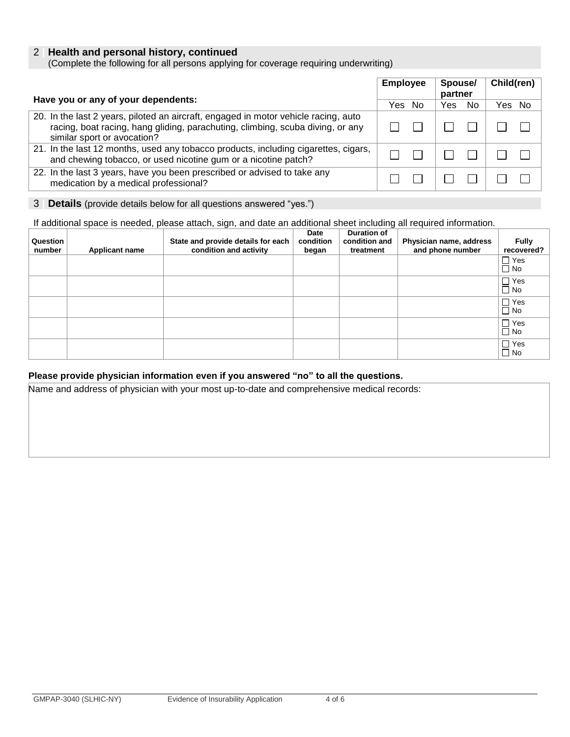## 2 **| Health and personal history, continued**

(Complete the following for all persons applying for coverage requiring underwriting)

| <b>Employee</b><br>Have you or any of your dependents:                                                                                                                                               |  | Spouse/<br>partner | Child(ren) |
|------------------------------------------------------------------------------------------------------------------------------------------------------------------------------------------------------|--|--------------------|------------|
|                                                                                                                                                                                                      |  | No.<br>Yes         | Yes No     |
| 20. In the last 2 years, piloted an aircraft, engaged in motor vehicle racing, auto<br>racing, boat racing, hang gliding, parachuting, climbing, scuba diving, or any<br>similar sport or avocation? |  |                    |            |
| 21. In the last 12 months, used any tobacco products, including cigarettes, cigars,<br>and chewing tobacco, or used nicotine gum or a nicotine patch?                                                |  |                    |            |
| 22. In the last 3 years, have you been prescribed or advised to take any<br>medication by a medical professional?                                                                                    |  |                    |            |

#### 3 **| Details** (provide details below for all questions answered "yes.")

If additional space is needed, please attach, sign, and date an additional sheet including all required information.

| Question<br>number | <b>Applicant name</b> | State and provide details for each<br>condition and activity | Date<br>condition<br>began | <b>Duration of</b><br>condition and<br>treatment | Physician name, address<br>and phone number | <b>Fully</b><br>recovered? |
|--------------------|-----------------------|--------------------------------------------------------------|----------------------------|--------------------------------------------------|---------------------------------------------|----------------------------|
|                    |                       |                                                              |                            |                                                  |                                             | $\Box$ Yes<br>$\Box$ No    |
|                    |                       |                                                              |                            |                                                  |                                             | $\Box$ Yes<br>$\square$ No |
|                    |                       |                                                              |                            |                                                  |                                             | $\Box$ Yes<br>$\square$ No |
|                    |                       |                                                              |                            |                                                  |                                             | $\Box$ Yes<br>$\Box$ No    |
|                    |                       |                                                              |                            |                                                  |                                             | $\Box$ Yes<br>$\Box$ No    |

## **Please provide physician information even if you answered "no" to all the questions.**

Name and address of physician with your most up-to-date and comprehensive medical records: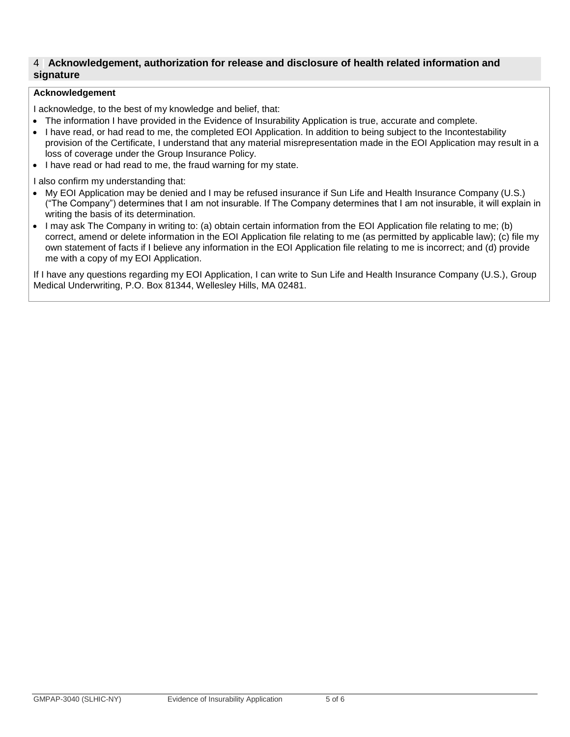## 4 **| Acknowledgement, authorization for release and disclosure of health related information and signature**

#### **Acknowledgement**

I acknowledge, to the best of my knowledge and belief, that:

- The information I have provided in the Evidence of Insurability Application is true, accurate and complete.
- I have read, or had read to me, the completed EOI Application. In addition to being subject to the Incontestability provision of the Certificate, I understand that any material misrepresentation made in the EOI Application may result in a loss of coverage under the Group Insurance Policy.
- I have read or had read to me, the fraud warning for my state.

I also confirm my understanding that:

- My EOI Application may be denied and I may be refused insurance if Sun Life and Health Insurance Company (U.S.) ("The Company") determines that I am not insurable. If The Company determines that I am not insurable, it will explain in writing the basis of its determination.
- I may ask The Company in writing to: (a) obtain certain information from the EOI Application file relating to me; (b) correct, amend or delete information in the EOI Application file relating to me (as permitted by applicable law); (c) file my own statement of facts if I believe any information in the EOI Application file relating to me is incorrect; and (d) provide me with a copy of my EOI Application.

If I have any questions regarding my EOI Application, I can write to Sun Life and Health Insurance Company (U.S.), Group Medical Underwriting, P.O. Box 81344, Wellesley Hills, MA 02481.